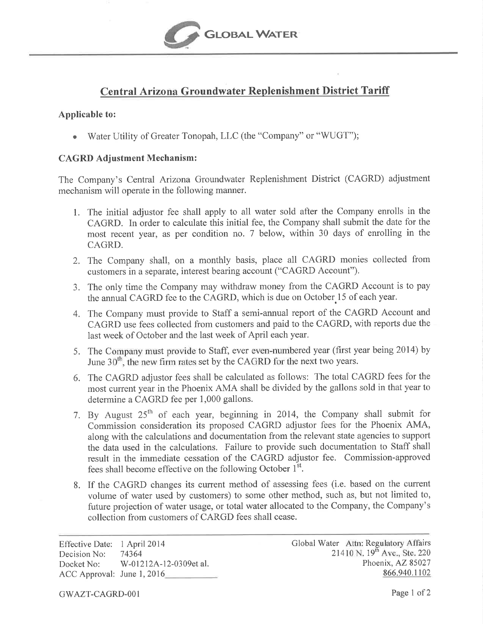

## Central Arizona Groundwater Replenishment District Tariff

## Applicable to:

<sup>a</sup> Water Utility of Greater Tonopah, LLC (the "Company" or "WIJGT");

## CAGRD Adjustment Mechanism:

The Company's Central Arizona Groundwater Replenishment District (CAGRD) adjustment mechanism will operate in the following manner.

- 1. The initial adjustor fee shall apply to all water sold after the Company enrolls in the CAGRD. In order to calculate this initial fee, the Company shall submit the date for the most recent year, as per condition no. 7 below, within 30 days of enrolling in the CAGRD.
- 2. The Company shall, on a monthly basis, place all CAGRD monies collected from customers in a separate, interest bearing account ("CAGRD Account").
- 3. The only time the Company may withdraw money from the CAGRD Account is to pay the annual CAGRD fee to the CAGRD, which is due on October 15 of each year.
- 4. The Company must provide to Staff a semi-annual report of the CAGRD Account and CAGRD use fees collected from customers and paid to the CAGRD, with reports due the last week of October and the last week of April each year.
- 5. The Company must provide to Staff, ever even-numbered year (first year being 2014) by June  $30<sup>th</sup>$ , the new firm rates set by the CAGRD for the next two years.
- 6, The CAGRD adjustor fees shall be calculated as follows: The total CAGRD fees for the most current year in the Phoenix AMA shall be divided by the gallons sold in that year to determine a CAGRD fee per 1,000 gallons.
- 7. By August  $25<sup>th</sup>$  of each year, beginning in 2014, the Company shall submit for Commission consideration its proposed CAGRD adjustor fees for the Phoenix AMA, along with the calculations and documentation from the relevant state agencies to support the data used in the calculations. Failure to provide such documentation to Staff shall result in the immediate cessation of the CAGRD adjustor fee. Commission-approved fees shall become effective on the following October 1<sup>st</sup>.
- 8. If the CAGRD changes its current method of assessing fees (i.e. based on the current volume of water used by customers) to some other method, such as, but not limited to, future projection of water usage, or total water allocated to the Company, the Company's collection from customers of CARGD fees shall cease.

Effective Date: 1 April 2014 Decision No: 74364 Docket No: W-012124-12-0309et al. ACC Approval: June 1, 2016

Global Water Attn: Regulatory Affairs 21410 N. 19<sup>th</sup> Ave., Ste. 220 Phoenix, AZ 85027 866.940.1102

GWAZT-CAGRD-001 Page 1 of 2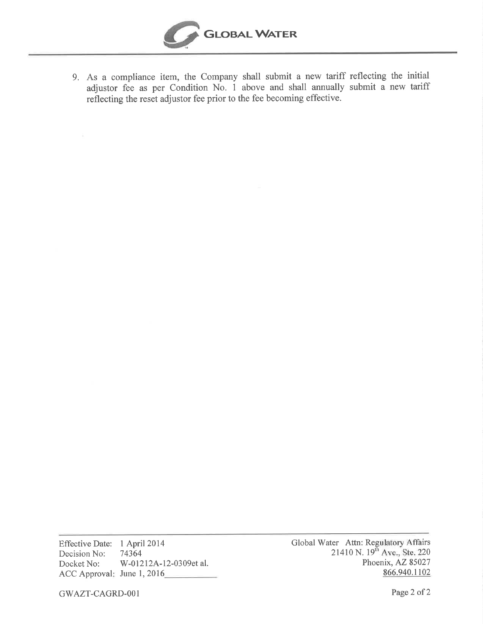

9. As a compliance item, the Company shall submit a new tariff reflecting the initial adjustor fee as per Condition No. 1 above and shall annually submit a new tariff reflecting the reset adjustor fee prior to the fee becoming effective.

Effective Date: 1 April2014 Decision No: Docket No: ACC Approval: June 1, 2016 74364 W-01212A-12-0309et al. Global Water Attn: 21410 N : Regulatory Affairs .  $19<sup>th</sup>$  Ave., Ste. 220 Phoenix, AZ 85027 866.940.1102

GWAZT-CAGRD-001 Page 2 of 2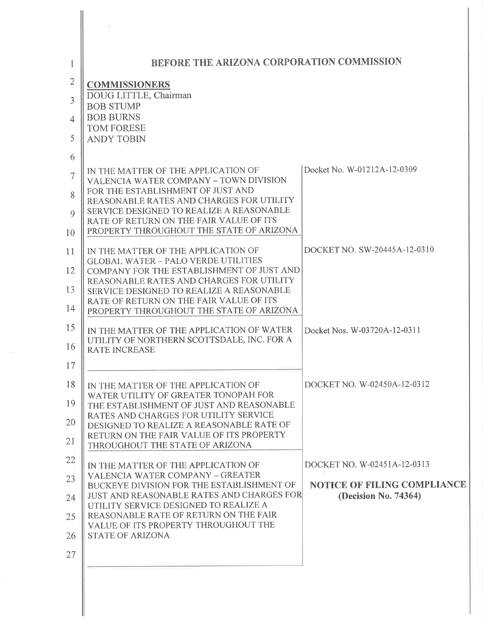| 1                                                 | BEFORE THE ARIZONA CORPORATION COMMISSION                                                                                                                                                                                                                                                                                     |                                                                                           |
|---------------------------------------------------|-------------------------------------------------------------------------------------------------------------------------------------------------------------------------------------------------------------------------------------------------------------------------------------------------------------------------------|-------------------------------------------------------------------------------------------|
| 2<br>3<br>$\overline{\mathcal{A}}$<br>5<br>6<br>7 | <b>COMMISSIONERS</b><br>DOUG LITTLE, Chairman<br><b>BOB STUMP</b><br><b>BOB BURNS</b><br><b>TOM FORESE</b><br><b>ANDY TOBIN</b><br>IN THE MATTER OF THE APPLICATION OF<br>VALENCIA WATER COMPANY - TOWN DIVISION                                                                                                              | Docket No. W-01212A-12-0309                                                               |
| 8<br>9<br>10                                      | FOR THE ESTABLISHMENT OF JUST AND<br>REASONABLE RATES AND CHARGES FOR UTILITY<br>SERVICE DESIGNED TO REALIZE A REASONABLE<br>RATE OF RETURN ON THE FAIR VALUE OF ITS<br>PROPERTY THROUGHOUT THE STATE OF ARIZONA                                                                                                              |                                                                                           |
| 11<br>12<br>13<br>14                              | IN THE MATTER OF THE APPLICATION OF<br><b>GLOBAL WATER - PALO VERDE UTILITIES</b><br>COMPANY FOR THE ESTABLISHMENT OF JUST AND<br>REASONABLE RATES AND CHARGES FOR UTILITY<br>SERVICE DESIGNED TO REALIZE A REASONABLE<br>RATE OF RETURN ON THE FAIR VALUE OF ITS<br>PROPERTY THROUGHOUT THE STATE OF ARIZONA                 | DOCKET NO. SW-20445A-12-0310                                                              |
| 15<br>16<br>17                                    | IN THE MATTER OF THE APPLICATION OF WATER<br>UTILITY OF NORTHERN SCOTTSDALE, INC. FOR A<br><b>RATE INCREASE</b>                                                                                                                                                                                                               | Docket Nos. W-03720A-12-0311                                                              |
| 18<br>19<br>20<br>21                              | IN THE MATTER OF THE APPLICATION OF<br>WATER UTILITY OF GREATER TONOPAH FOR<br>THE ESTABLISHMENT OF JUST AND REASONABLE<br>RATES AND CHARGES FOR UTILITY SERVICE<br>DESIGNED TO REALIZE A REASONABLE RATE OF<br>RETURN ON THE FAIR VALUE OF ITS PROPERTY<br>THROUGHOUT THE STATE OF ARIZONA                                   | DOCKET NO. W-02450A-12-0312                                                               |
| 22<br>23<br>24<br>25<br>26                        | IN THE MATTER OF THE APPLICATION OF<br><b>VALENCIA WATER COMPANY - GREATER</b><br>BUCKEYE DIVISION FOR THE ESTABLISHMENT OF<br>JUST AND REASONABLE RATES AND CHARGES FOR<br>UTILITY SERVICE DESIGNED TO REALIZE A<br>REASONABLE RATE OF RETURN ON THE FAIR<br>VALUE OF ITS PROPERTY THROUGHOUT THE<br><b>STATE OF ARIZONA</b> | DOCKET NO. W-02451A-12-0313<br><b>NOTICE OF FILING COMPLIANCE</b><br>(Decision No. 74364) |
| 27                                                |                                                                                                                                                                                                                                                                                                                               |                                                                                           |

 $\bar{\sigma}$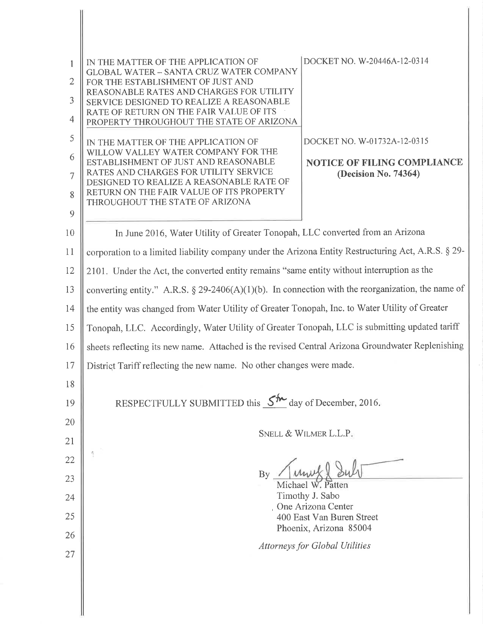| 1<br>$\overline{2}$<br>3<br>$\overline{4}$ | DOCKET NO. W-20446A-12-0314<br>IN THE MATTER OF THE APPLICATION OF<br><b>GLOBAL WATER - SANTA CRUZ WATER COMPANY</b><br>FOR THE ESTABLISHMENT OF JUST AND<br>REASONABLE RATES AND CHARGES FOR UTILITY<br>SERVICE DESIGNED TO REALIZE A REASONABLE<br>RATE OF RETURN ON THE FAIR VALUE OF ITS<br>PROPERTY THROUGHOUT THE STATE OF ARIZONA |  |
|--------------------------------------------|------------------------------------------------------------------------------------------------------------------------------------------------------------------------------------------------------------------------------------------------------------------------------------------------------------------------------------------|--|
| 5                                          | DOCKET NO. W-01732A-12-0315<br>IN THE MATTER OF THE APPLICATION OF                                                                                                                                                                                                                                                                       |  |
| 6                                          | WILLOW VALLEY WATER COMPANY FOR THE<br>ESTABLISHMENT OF JUST AND REASONABLE<br><b>NOTICE OF FILING COMPLIANCE</b>                                                                                                                                                                                                                        |  |
| $\overline{7}$                             | RATES AND CHARGES FOR UTILITY SERVICE<br>(Decision No. 74364)<br>DESIGNED TO REALIZE A REASONABLE RATE OF                                                                                                                                                                                                                                |  |
| 8                                          | RETURN ON THE FAIR VALUE OF ITS PROPERTY<br>THROUGHOUT THE STATE OF ARIZONA                                                                                                                                                                                                                                                              |  |
| 9                                          |                                                                                                                                                                                                                                                                                                                                          |  |
| 10                                         | In June 2016, Water Utility of Greater Tonopah, LLC converted from an Arizona                                                                                                                                                                                                                                                            |  |
| 11                                         | corporation to a limited liability company under the Arizona Entity Restructuring Act, A.R.S. § 29-                                                                                                                                                                                                                                      |  |
| 12                                         | 2101. Under the Act, the converted entity remains "same entity without interruption as the                                                                                                                                                                                                                                               |  |
| 13                                         | converting entity." A.R.S. $\S$ 29-2406(A)(1)(b). In connection with the reorganization, the name of                                                                                                                                                                                                                                     |  |
| 14                                         | the entity was changed from Water Utility of Greater Tonopah, Inc. to Water Utility of Greater                                                                                                                                                                                                                                           |  |
| 15                                         | Tonopah, LLC. Accordingly, Water Utility of Greater Tonopah, LLC is submitting updated tariff                                                                                                                                                                                                                                            |  |
| 16                                         | sheets reflecting its new name. Attached is the revised Central Arizona Groundwater Replenishing                                                                                                                                                                                                                                         |  |
| 17                                         | District Tariff reflecting the new name. No other changes were made.                                                                                                                                                                                                                                                                     |  |
| 18                                         |                                                                                                                                                                                                                                                                                                                                          |  |
| 19                                         | RESPECTFULLY SUBMITTED this $5^{\frac{1}{2}}$ day of December, 2016.                                                                                                                                                                                                                                                                     |  |
| 20                                         |                                                                                                                                                                                                                                                                                                                                          |  |
| 21                                         | SNELL & WILMER L.L.P.                                                                                                                                                                                                                                                                                                                    |  |
| 22                                         |                                                                                                                                                                                                                                                                                                                                          |  |
| 23                                         | By<br>Michael W. Patten                                                                                                                                                                                                                                                                                                                  |  |
| 24                                         | Timothy J. Sabo                                                                                                                                                                                                                                                                                                                          |  |
| 25                                         | One Arizona Center<br>400 East Van Buren Street                                                                                                                                                                                                                                                                                          |  |
| 26                                         | Phoenix, Arizona 85004                                                                                                                                                                                                                                                                                                                   |  |
| 27                                         | <b>Attorneys for Global Utilities</b>                                                                                                                                                                                                                                                                                                    |  |
|                                            |                                                                                                                                                                                                                                                                                                                                          |  |
|                                            |                                                                                                                                                                                                                                                                                                                                          |  |

I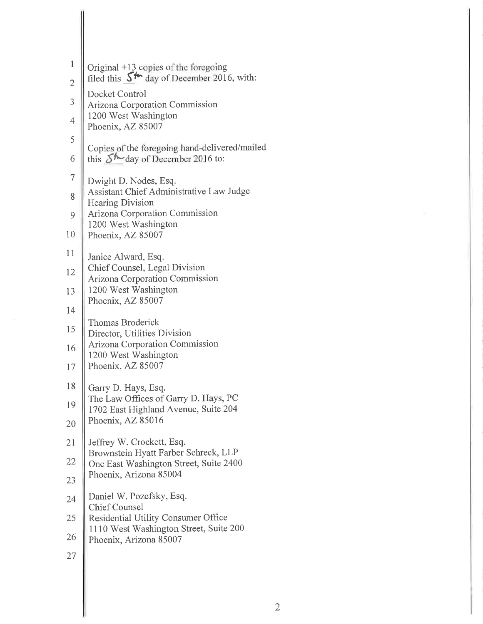| 1                        | Original +13 copies of the foregoing                                         |
|--------------------------|------------------------------------------------------------------------------|
| $\overline{2}$           | filed this $S^{\prime\prime\prime}$ day of December 2016, with:              |
| $\overline{3}$           | Docket Control<br><b>Arizona Corporation Commission</b>                      |
| $\overline{\mathcal{L}}$ | 1200 West Washington<br>Phoenix, AZ 85007                                    |
| 5                        | Copies of the foregoing hand-delivered/mailed                                |
| 6                        | this $5^{\prime\prime}$ day of December 2016 to:                             |
| $\overline{7}$           | Dwight D. Nodes, Esq.                                                        |
| 8                        | Assistant Chief Administrative Law Judge<br><b>Hearing Division</b>          |
| 9                        | Arizona Corporation Commission                                               |
| 10                       | 1200 West Washington<br>Phoenix, AZ 85007                                    |
| 11                       | Janice Alward, Esq.                                                          |
| 12                       | Chief Counsel, Legal Division<br>Arizona Corporation Commission              |
| 13                       | 1200 West Washington<br>Phoenix, AZ 85007                                    |
| 14                       |                                                                              |
| 15                       | <b>Thomas Broderick</b><br>Director, Utilities Division                      |
| 16                       | <b>Arizona Corporation Commission</b><br>1200 West Washington                |
| 17                       | Phoenix, AZ 85007                                                            |
| 18                       | Garry D. Hays, Esq.                                                          |
| 19                       | The Law Offices of Garry D. Hays, PC<br>1702 East Highland Avenue, Suite 204 |
| 20                       | Phoenix, AZ 85016                                                            |
| 21                       | Jeffrey W. Crockett, Esq.<br>Brownstein Hyatt Farber Schreck, LLP            |
| 22                       | One East Washington Street, Suite 2400                                       |
| 23                       | Phoenix, Arizona 85004                                                       |
| 24                       | Daniel W. Pozefsky, Esq.                                                     |
| 25                       | <b>Chief Counsel</b><br><b>Residential Utility Consumer Office</b>           |
| 26                       | 1110 West Washington Street, Suite 200<br>Phoenix, Arizona 85007             |
| 27                       |                                                                              |
|                          |                                                                              |

 $\overline{2}$